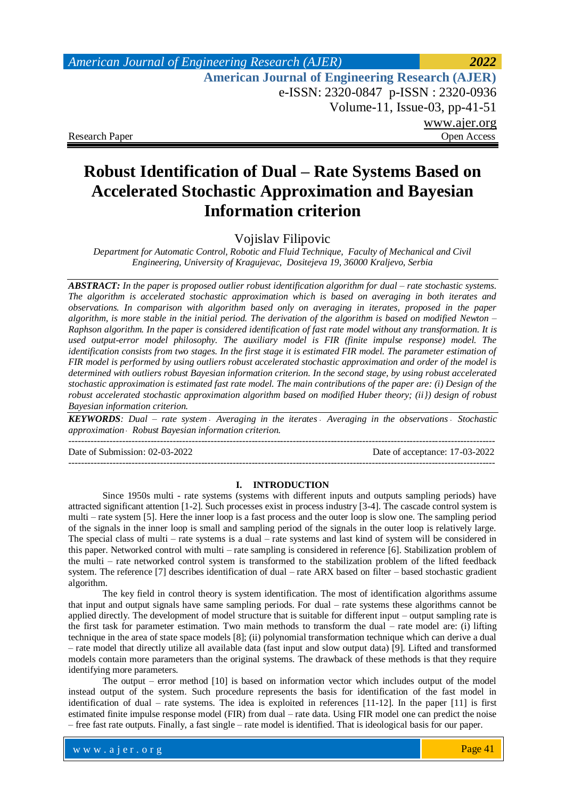## *American Journal of Engineering Research (AJER) 2022*  **American Journal of Engineering Research (AJER)** e-ISSN: 2320-0847 p-ISSN : 2320-0936 Volume-11, Issue-03, pp-41-51 www.ajer.org Research Paper **Open Access** Open Access **Open Access**

# **Robust Identification of Dual – Rate Systems Based on Accelerated Stochastic Approximation and Bayesian Information criterion**

Vojislav Filipovic

*Department for Automatic Control, Robotic and Fluid Technique, Faculty of Mechanical and Civil Engineering, University of Kragujevac, Dositejeva 19, 36000 Kraljevo, Serbia*

*ABSTRACT: In the paper is proposed outlier robust identification algorithm for dual – rate stochastic systems. The algorithm is accelerated stochastic approximation which is based on averaging in both iterates and observations. In comparison with algorithm based only on averaging in iterates, proposed in the paper algorithm, is more stable in the initial period. The derivation of the algorithm is based on modified Newton – Raphson algorithm. In the paper is considered identification of fast rate model without any transformation. It is used output-error model philosophy. The auxiliary model is FIR (finite impulse response) model. The identification consists from two stages. In the first stage it is estimated FIR model. The parameter estimation of FIR model is performed by using outliers robust accelerated stochastic approximation and order of the model is determined with outliers robust Bayesian information criterion. In the second stage, by using robust accelerated stochastic approximation is estimated fast rate model. The main contributions of the paper are: (i) Design of the robust accelerated stochastic approximation algorithm based on modified Huber theory; (ii}) design of robust Bayesian information criterion.* 

**KEYWORDS**: Dual – rate system Averaging in the iterates Averaging in the observations Stochastic *approximation Robust Bayesian information criterion.* ---------------------------------------------------------------------------------------------------------------------------------------

Date of Submission: 02-03-2022 Date of acceptance: 17-03-2022

---------------------------------------------------------------------------------------------------------------------------------------

### **I. INTRODUCTION**

Since 1950s multi - rate systems (systems with different inputs and outputs sampling periods) have attracted significant attention [1-2]. Such processes exist in process industry [3-4]. The cascade control system is multi – rate system [5]. Here the inner loop is a fast process and the outer loop is slow one. The sampling period of the signals in the inner loop is small and sampling period of the signals in the outer loop is relatively large. The special class of multi – rate systems is a dual – rate systems and last kind of system will be considered in this paper. Networked control with multi – rate sampling is considered in reference [6]. Stabilization problem of the multi – rate networked control system is transformed to the stabilization problem of the lifted feedback system. The reference [7] describes identification of dual – rate ARX based on filter – based stochastic gradient algorithm.

The key field in control theory is system identification. The most of identification algorithms assume that input and output signals have same sampling periods. For dual – rate systems these algorithms cannot be applied directly. The development of model structure that is suitable for different input – output sampling rate is the first task for parameter estimation. Two main methods to transform the dual – rate model are: (i) lifting technique in the area of state space models [8]; (ii) polynomial transformation technique which can derive a dual – rate model that directly utilize all available data (fast input and slow output data) [9]. Lifted and transformed models contain more parameters than the original systems. The drawback of these methods is that they require identifying more parameters.

The output – error method [10] is based on information vector which includes output of the model instead output of the system. Such procedure represents the basis for identification of the fast model in identification of dual – rate systems. The idea is exploited in references [11-12]. In the paper [11] is first estimated finite impulse response model (FIR) from dual – rate data. Using FIR model one can predict the noise – free fast rate outputs. Finally, a fast single – rate model is identified. That is ideological basis for our paper.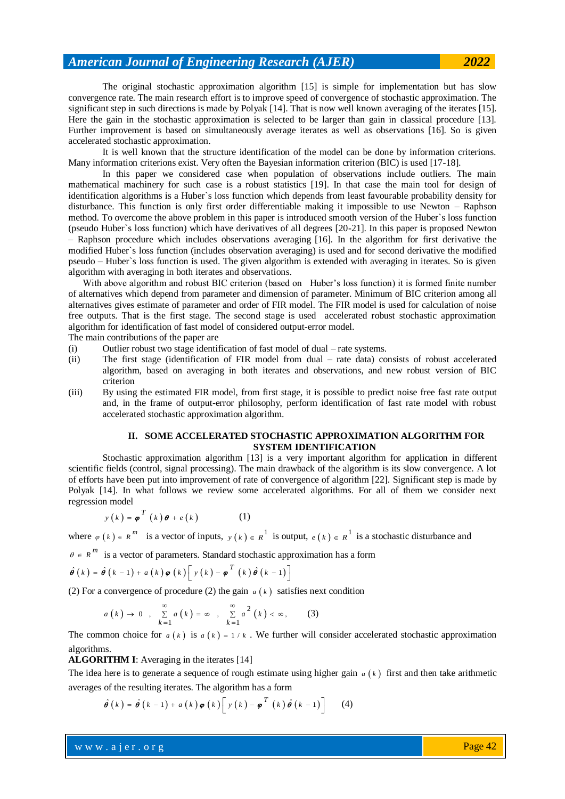The original stochastic approximation algorithm [15] is simple for implementation but has slow convergence rate. The main research effort is to improve speed of convergence of stochastic approximation. The significant step in such directions is made by Polyak [14]. That is now well known averaging of the iterates [15]. Here the gain in the stochastic approximation is selected to be larger than gain in classical procedure [13]. Further improvement is based on simultaneously average iterates as well as observations [16]. So is given accelerated stochastic approximation.

It is well known that the structure identification of the model can be done by information criterions. Many information criterions exist. Very often the Bayesian information criterion (BIC) is used [17-18].

In this paper we considered case when population of observations include outliers. The main mathematical machinery for such case is a robust statistics [19]. In that case the main tool for design of identification algorithms is a Huber`s loss function which depends from least favourable probability density for disturbance. This function is only first order differentiable making it impossible to use Newton – Raphson method. To overcome the above problem in this paper is introduced smooth version of the Huber`s loss function (pseudo Huber`s loss function) which have derivatives of all degrees [20-21]. In this paper is proposed Newton – Raphson procedure which includes observations averaging [16]. In the algorithm for first derivative the modified Huber`s loss function (includes observation averaging) is used and for second derivative the modified pseudo – Huber`s loss function is used. The given algorithm is extended with averaging in iterates. So is given algorithm with averaging in both iterates and observations.

With above algorithm and robust BIC criterion (based on Huber's loss function) it is formed finite number of alternatives which depend from parameter and dimension of parameter. Minimum of BIC criterion among all alternatives gives estimate of parameter and order of FIR model. The FIR model is used for calculation of noise free outputs. That is the first stage. The second stage is used accelerated robust stochastic approximation algorithm for identification of fast model of considered output-error model.

The main contributions of the paper are

- (i) Outlier robust two stage identification of fast model of dual rate systems.
- (ii) The first stage (identification of FIR model from dual rate data) consists of robust accelerated algorithm, based on averaging in both iterates and observations, and new robust version of BIC criterion
- (iii) By using the estimated FIR model, from first stage, it is possible to predict noise free fast rate output and, in the frame of output-error philosophy, perform identification of fast rate model with robust accelerated stochastic approximation algorithm.

### **II. SOME ACCELERATED STOCHASTIC APPROXIMATION ALGORITHM FOR SYSTEM IDENTIFICATION**

Stochastic approximation algorithm [13] is a very important algorithm for application in different scientific fields (control, signal processing). The main drawback of the algorithm is its slow convergence. A lot of efforts have been put into improvement of rate of convergence of algorithm [22]. Significant step is made by Polyak [14]. In what follows we review some accelerated algorithms. For all of them we consider next regression model

$$
y(k) = \boldsymbol{\varphi}^{T}(k)\boldsymbol{\theta} + e(k)
$$
 (1)

where  $\varphi(k) \in R^m$  is a vector of inputs,  $y(k) \in R^1$  is output,  $e(k) \in R^1$  is a stochastic disturbance and

$$
\theta \in R^m \text{ is a vector of parameters. Standard stochastic approximation has a form}
$$
  

$$
\hat{\theta}(k) = \hat{\theta}(k-1) + a(k) \varphi(k) \left[ y(k) - \varphi^{T}(k) \hat{\theta}(k-1) \right]
$$

(2) For a convergence of procedure (2) the gain  $a(k)$  satisfies next condition

$$
a(k) \to 0 \quad , \quad \sum_{k=1}^{\infty} a(k) = \infty \quad , \quad \sum_{k=1}^{\infty} a^2(k) < \infty, \tag{3}
$$

The common choice for  $a(k)$  is  $a(k) = 1/k$ . We further will consider accelerated stochastic approximation algorithms.

**ALGORITHM I**: Averaging in the iterates [14]

The idea here is to generate a sequence of rough estimate using higher gain  $a(k)$  first and then take arithmetic

averages of the resulting iterates. The algorithm has a form  
\n
$$
\hat{\theta}(k) = \hat{\theta}(k-1) + a(k) \hat{\phi}(k) \left[ y(k) - \hat{\phi}^T(k) \hat{\theta}(k-1) \right]
$$
\n(4)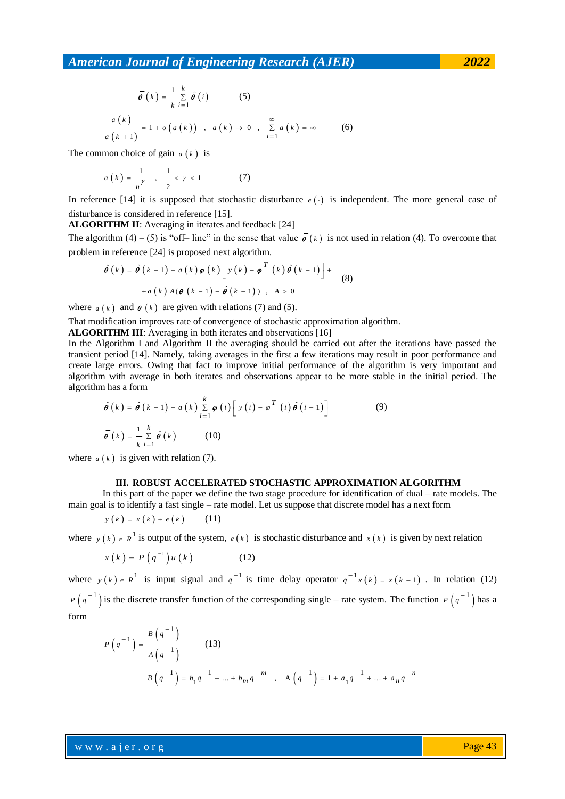$$
\bar{\theta}(k) = \frac{1}{k} \sum_{i=1}^{k} \hat{\theta}(i)
$$
 (5)  

$$
\frac{a(k)}{a(k+1)} = 1 + o(a(k)) , a(k) \to 0 , \sum_{i=1}^{\infty} a(k) = \infty
$$
 (6)

The common choice of gain  $a(k)$  is

$$
a(k) = \frac{1}{n^{\gamma}} , \frac{1}{2} < \gamma < 1
$$
 (7)

In reference [14] it is supposed that stochastic disturbance  $e(\cdot)$  is independent. The more general case of disturbance is considered in reference [15].

**ALGORITHM II**: Averaging in iterates and feedback [24]

The algorithm (4) – (5) is "off– line" in the sense that value  $\vec{\theta}$  ( $k$ ) is not used in relation (4). To overcome that

problem in reference [24] is proposed next algorithm.  
\n
$$
\hat{\theta}(k) = \hat{\theta}(k-1) + a(k) \varphi(k) \left[ y(k) - \varphi^{T}(k) \hat{\theta}(k-1) \right] +
$$
\n
$$
+ a(k) A(\vec{\theta}(k-1) - \hat{\theta}(k-1)) , A > 0
$$
\n(8)

where  $a(k)$  and  $\overline{\theta}(k)$  are given with relations (7) and (5).

That modification improves rate of convergence of stochastic approximation algorithm.

**ALGORITHM III**: Averaging in both iterates and observations [16]

In the Algorithm I and Algorithm II the averaging should be carried out after the iterations have passed the transient period [14]. Namely, taking averages in the first a few iterations may result in poor performance and create large errors. Owing that fact to improve initial performance of the algorithm is very important and algorithm with average in both iterates and observations appear to be more stable in the initial period. The algorithm has a form

n has a form  
\n
$$
\hat{\theta}(k) = \hat{\theta}(k-1) + a(k) \sum_{i=1}^{k} \varphi(i) \left[ y(i) - \varphi^{T}(i) \hat{\theta}(i-1) \right]
$$
\n
$$
\overline{\theta}(k) = \frac{1}{k} \sum_{i=1}^{k} \hat{\theta}(k)
$$
\n(10)

where  $a(k)$  is given with relation (7).

#### **III. ROBUST ACCELERATED STOCHASTIC APPROXIMATION ALGORITHM**

In this part of the paper we define the two stage procedure for identification of dual – rate models. The main goal is to identify a fast single – rate model. Let us suppose that discrete model has a next form

$$
y(k) = x(k) + e(k) \qquad (11)
$$

where  $y(k) \in R^{\perp}$  is output of the system,  $e(k)$  is stochastic disturbance and  $x(k)$  is given by next relation

$$
x(k) = P(q^{-1})u(k)
$$
 (12)

where  $y(k) \in R^1$  is input signal and  $q^{-1}$  is time delay operator  $q^{-1}x(k) = x(k-1)$ . In relation (12)  $P(q^{-1})$  is the discrete transfer function of the corresponding single – rate system. The function  $P(q^{-1})$  has a form

$$
P(q^{-1}) = \frac{B(q^{-1})}{A(q^{-1})}
$$
 (13)  

$$
B(q^{-1}) = b_1 q^{-1} + ... + b_m q^{-m}
$$
,  $A(q^{-1}) = 1 + a_1 q^{-1} + ... + a_n q^{-n}$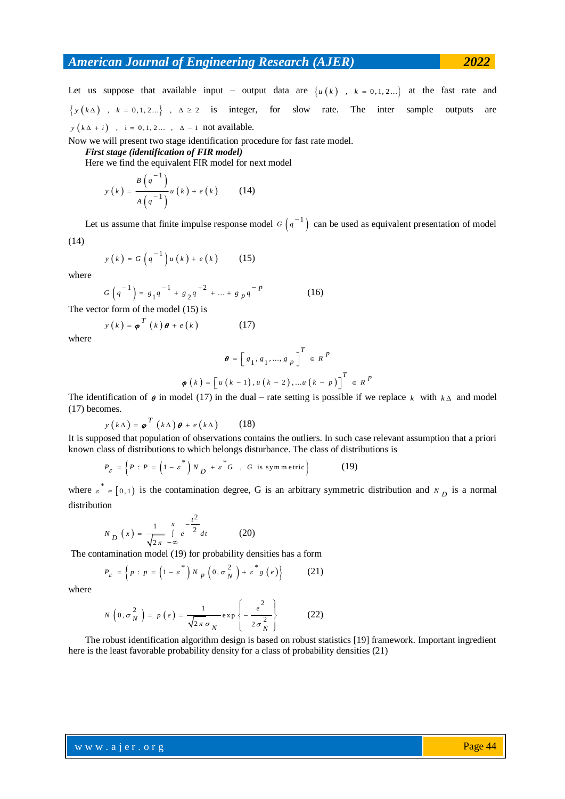Let us suppose that available input – output data are  $\{u(k), k = 0, 1, 2...\}$  at the fast rate and  $\{y(k\Delta), k = 0, 1, 2...\}, \Delta \ge 2$  is integer, for slow rate. The inter sample outputs are  $y(k\Delta + i)$ ,  $i = 0, 1, 2...$ ,  $\Delta - 1$  not available.

Now we will present two stage identification procedure for fast rate model.

*First stage (identification of FIR model)*

Here we find the equivalent FIR model for next model

$$
y(k) = \frac{B\left(q^{-1}\right)}{A\left(q^{-1}\right)}u(k) + e(k) \tag{14}
$$

Let us assume that finite impulse response model  $G(q^{-1})$  can be used as equivalent presentation of model

(14)

$$
y(k) = G\left(q^{-1}\right)u(k) + e(k) \qquad (15)
$$

where

$$
G\left(q^{-1}\right) = g_1 q^{-1} + g_2 q^{-2} + \dots + g_p q^{-p} \tag{16}
$$

The vector form of the model (15) is

$$
y(k) = \boldsymbol{\varphi}^{T}(k)\boldsymbol{\theta} + e(k)
$$
 (17)

where

$$
\theta = \left[ g_1, g_1, ..., g_p \right]^T \in R^p
$$
  

$$
\varphi(k) = \left[ u(k-1), u(k-2), ..., u(k-p) \right]^T \in R^p
$$

The identification of  $\theta$  in model (17) in the dual – rate setting is possible if we replace  $k$  with  $k \Delta$  and model (17) becomes.

$$
y(k\Delta) = \boldsymbol{\varphi}^T (k\Delta) \boldsymbol{\theta} + e(k\Delta)
$$
 (18)

It is supposed that population of observations contains the outliers. In such case relevant assumption that a priori

known class of distributions to which belongs disturbance. The class of distributions is\n
$$
P_{\varepsilon} = \left\{ P : P = \left( 1 - \varepsilon^* \right) N_D + \varepsilon^* G \quad , \ G \text{ is symmetric} \right\} \tag{19}
$$

where  $\epsilon^* \in [0,1)$  is the contamination degree, G is an arbitrary symmetric distribution and  $N_D$  is a normal distribution

$$
N_{D}(x) = \frac{1}{\sqrt{2\pi}} \int_{-\infty}^{x} e^{-\frac{t^{2}}{2}} dt
$$
 (20)

The contamination model (19) for probability densities has a form<br> $P = \int_R p \cdot R = (1 - s^*) N = (0 - \sigma^2) + s^* g(s)$  (21)

$$
P_{\varepsilon} = \left\{ p : p = \left( 1 - \varepsilon^* \right) N p \left( 0, \sigma_N^2 \right) + \varepsilon^* g \left( e \right) \right\} \tag{21}
$$

where

$$
N\left(0, \sigma_N^2\right) = p\left(e\right) = \frac{1}{\sqrt{2\pi}\sigma_N} \exp\left\{-\frac{e^2}{2\sigma_N^2}\right\} \tag{22}
$$

The robust identification algorithm design is based on robust statistics [19] framework. Important ingredient here is the least favorable probability density for a class of probability densities (21)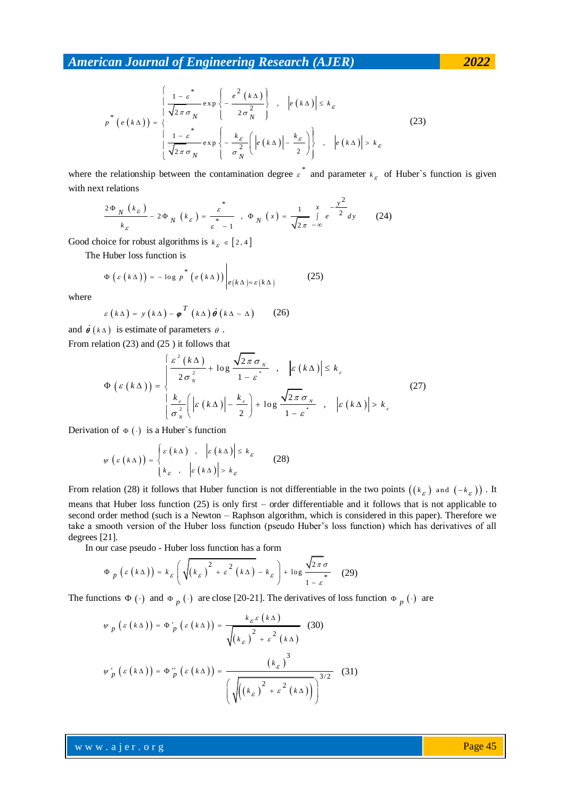$$
p^*\left(e(k\Delta)\right) = \begin{cases} \frac{1-\varepsilon^*}{\sqrt{2\pi}\sigma_N} \exp\left\{-\frac{e^2(k\Delta)}{2\sigma_N^2}\right\} & , & |e(k\Delta)| \le k_{\varepsilon} \\ \frac{1-\varepsilon^*}{\sqrt{2\pi}\sigma_N} \exp\left\{-\frac{k_{\varepsilon}}{\sigma_N^2}\left(|e(k\Delta)|-\frac{k_{\varepsilon}}{2}\right)\right\} & , & |e(k\Delta)| > k_{\varepsilon} \end{cases}
$$
(23)

where the relationship between the contamination degree  $\varepsilon^*$  and parameter  $k_{\varepsilon}$  of Huber's function is given with next relations

$$
\frac{2\Phi_N(k_{\varepsilon})}{k_{\varepsilon}} - 2\Phi_N(k_{\varepsilon}) = \frac{\varepsilon^*}{\varepsilon - 1}, \quad \Phi_N(x) = \frac{1}{\sqrt{2\pi}} \int_{-\infty}^x e^{-\frac{y^2}{2}} dy \qquad (24)
$$

Good choice for robust algorithms is  $k_{\varepsilon} \in [2, 4]$ 

The Huber loss function is

$$
\Phi\left(\varepsilon\left(k\Delta\right)\right)=-\log p^*\left(e\left(k\Delta\right)\right)\bigg|_{e\left(k\Delta\right)=\varepsilon\left(k\Delta\right)}
$$
 (25)

where

$$
\varepsilon (k\Delta) = y (k\Delta) - \boldsymbol{\varphi}^T (k\Delta) \hat{\boldsymbol{\theta}} (k\Delta - \Delta) \qquad (26)
$$

and  $\hat{\theta}$  ( $k \Delta$ ) is estimate of parameters  $\theta$ .

From relation (23) and (25) it follows that  
\n
$$
\Phi\left(\varepsilon\left(k\Delta\right)\right) = \begin{cases}\n\frac{\varepsilon^2\left(k\Delta\right)}{2\sigma_N^2} + \log \frac{\sqrt{2\pi}\sigma_N}{1-\varepsilon^*} , & \left|\varepsilon\left(k\Delta\right)\right| \le k_\varepsilon \\
\frac{k_\varepsilon}{\sigma_N^2}\left|\varepsilon\left(k\Delta\right)\right| - \frac{k_\varepsilon}{2}\right) + \log \frac{\sqrt{2\pi}\sigma_N}{1-\varepsilon^*} , & \left|\varepsilon\left(k\Delta\right)\right| > k_\varepsilon\n\end{cases}
$$
\n(27)

Derivation of  $\Phi(\cdot)$  is a Huber's function

$$
\psi\left(\varepsilon\left(k\Delta\right)\right) = \begin{cases} \varepsilon\left(k\Delta\right) & , & \left|\varepsilon\left(k\Delta\right)\right| \leq k_{\varepsilon} \\ k_{\varepsilon} & , & \left|\varepsilon\left(k\Delta\right)\right| > k_{\varepsilon} \end{cases}
$$
 (28)

From relation (28) it follows that Huber function is not differentiable in the two points  $((k_{\varepsilon})$  and  $(-k_{\varepsilon}))$ . It means that Huber loss function (25) is only first – order differentiable and it follows that is not applicable to second order method (such is a Newton – Raphson algorithm, which is considered in this paper). Therefore we take a smooth version of the Huber loss function (pseudo Huber's loss function) which has derivatives of all degrees [21].

In our case pseudo - Huber loss function has a form  
\n
$$
\Phi_p(\varepsilon(k\Delta)) = k_{\varepsilon} \left( \sqrt{(k_{\varepsilon})^2 + \varepsilon^2 (k\Delta)} - k_{\varepsilon} \right) + \log \frac{\sqrt{2\pi} \sigma}{1 - \varepsilon}
$$
(29)

The functions  $\Phi(\cdot)$  and  $\Phi_p(\cdot)$  are close [20-21]. The derivatives of loss function  $\Phi_p(\cdot)$  are

$$
\psi_{p}(\varepsilon(k\Delta)) = \Phi'_{p}(\varepsilon(k\Delta)) = \frac{k_{\varepsilon}\varepsilon(k\Delta)}{\sqrt{(k_{\varepsilon})^{2} + \varepsilon^{2}(k\Delta)}} \quad (30)
$$

$$
\psi'_{p}(\varepsilon(k\Delta)) = \Phi''_{p}(\varepsilon(k\Delta)) = \frac{(k_{\varepsilon})^{3}}{\left(\sqrt{((k_{\varepsilon})^{2} + \varepsilon^{2}(k\Delta))}\right)^{3/2}} \quad (31)
$$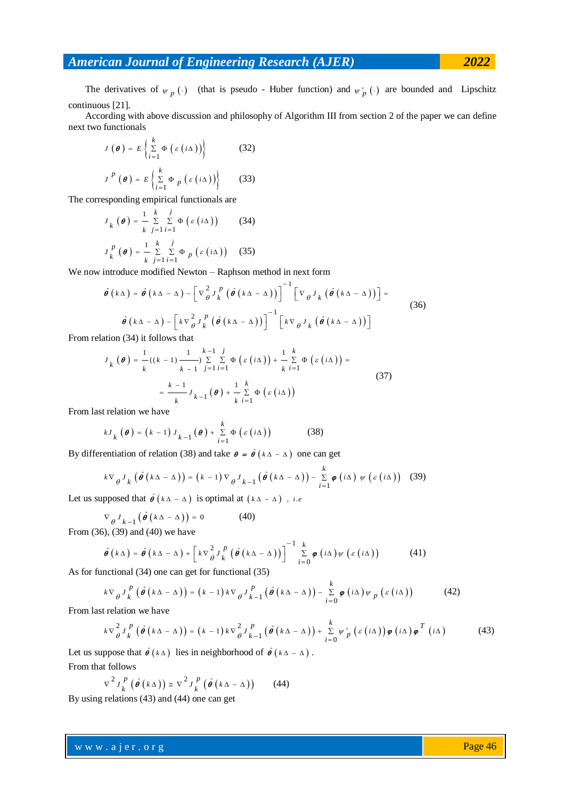The derivatives of  $\psi_p$  (.) (that is pseudo - Huber function) and  $\psi'_p$  (.) are bounded and Lipschitz continuous [21].

According with above discussion and philosophy of Algorithm III from section 2 of the paper we can define next two functionals

$$
J(\boldsymbol{\theta}) = E\left\{\sum_{i=1}^{k} \Phi\left(\varepsilon(i\Delta)\right)\right\}
$$
(32)  

$$
J^{P}(\boldsymbol{\theta}) = E\left\{\sum_{i=1}^{k} \Phi_{p}\left(\varepsilon(i\Delta)\right)\right\}
$$
(33)

The corresponding empirical functionals are

$$
J_k(\boldsymbol{\theta}) = \frac{1}{k} \sum_{j=1}^{k} \sum_{i=1}^{j} \Phi\left(\varepsilon(i\Delta)\right)
$$
(34)  

$$
J_k^p(\boldsymbol{\theta}) = \frac{1}{k} \sum_{j=1}^{k} \sum_{i=1}^{j} \Phi_p\left(\varepsilon(i\Delta)\right)
$$
(35)

We now introduce modified Newton – Raphson method in next form  
\n
$$
\hat{\theta} (k\Delta) = \hat{\theta} (k\Delta - \Delta) - \left[ \nabla_{\theta}^2 J_k^P (\hat{\theta} (k\Delta - \Delta)) \right]^{-1} \left[ \nabla_{\theta} J_k (\hat{\theta} (k\Delta - \Delta)) \right] =
$$
\n
$$
\hat{\theta} (k\Delta - \Delta) - \left[ k \nabla_{\theta}^2 J_k^P (\hat{\theta} (k\Delta - \Delta)) \right]^{-1} \left[ k \nabla_{\theta} J_k (\hat{\theta} (k\Delta - \Delta)) \right]
$$
\nFrom relation (34) it follows that

From relation (34) it follows that  
\n
$$
J_k(\boldsymbol{\theta}) = \frac{1}{k} ((k-1) \frac{1}{k-1} \sum_{j=1}^{k-1} \sum_{i=1}^{j} \Phi(\varepsilon(i\Delta)) + \frac{1}{k} \sum_{i=1}^{k} \Phi(\varepsilon(i\Delta)) =
$$
\n
$$
= \frac{k-1}{k} J_{k-1}(\boldsymbol{\theta}) + \frac{1}{k} \sum_{i=1}^{k} \Phi(\varepsilon(i\Delta))
$$
\n(37)

From last relation we have

$$
kJ_{k}(\boldsymbol{\theta}) = (k-1)J_{k-1}(\boldsymbol{\theta}) + \sum_{i=1}^{k} \Phi\left(\varepsilon\left(i\Delta\right)\right)
$$
(38)

By differentiation of relation (38) and take 
$$
\theta = \hat{\theta} (k\Delta - \Delta)
$$
 one can get  
\n
$$
k \nabla_{\theta} J_{k} (\hat{\theta} (k\Delta - \Delta)) = (k - 1) \nabla_{\theta} J_{k-1} (\hat{\theta} (k\Delta - \Delta)) - \sum_{i=1}^{k} \varphi (i\Delta) \psi (\varepsilon (i\Delta))
$$
\n(39)

Let us supposed that  $\hat{\theta}$  ( $k \Delta - \Delta$ ) is optimal at ( $k \Delta - \Delta$ ), *i.e* 

$$
\nabla_{\theta} J_{k-1} (\hat{\theta} (k\Delta - \Delta)) = 0
$$
 (40)

From (36), (39) and (40) we have  
\n
$$
\hat{\theta} (k\Delta) = \hat{\theta} (k\Delta - \Delta) + \left[ k \nabla \frac{2}{\theta} J_k^p (\hat{\theta} (k\Delta - \Delta)) \right]^{-1} \sum_{i=0}^k \varphi (i\Delta) \psi (\varepsilon (i\Delta))
$$
\n(41)

As for functional (34) one can get for functional (35)  
\n
$$
k \nabla_{\theta} J_{k}^{p} (\hat{\theta} (k\Delta - \Delta)) = (k - 1) k \nabla_{\theta} J_{k-1}^{p} (\hat{\theta} (k\Delta - \Delta)) - \sum_{i=0}^{k} \varphi (i\Delta) \psi_{p} (\varepsilon (i\Delta))
$$
\n(42)

From last relation we have

relation we have  
\n
$$
k \nabla_{\theta}^{2} J_{k}^{p} (\hat{\theta} (k\Delta - \Delta)) = (k - 1) k \nabla_{\theta}^{2} J_{k-1}^{p} (\hat{\theta} (k\Delta - \Delta)) + \sum_{i=0}^{k} \psi'_{p} (\varepsilon (i\Delta)) \varphi (i\Delta) \varphi^{T} (i\Delta)
$$
\n(43)

Let us suppose that  $\hat{\theta}$  ( $k \Delta$ ) lies in neighborhood of  $\hat{\theta}$  ( $k \Delta - \Delta$ ). From that follows

$$
\nabla^2 J_k^p \left( \hat{\boldsymbol{\theta}} \left( k \Delta \right) \right) \cong \nabla^2 J_k^p \left( \hat{\boldsymbol{\theta}} \left( k \Delta - \Delta \right) \right) \tag{44}
$$

By using relations (43) and (44) one can get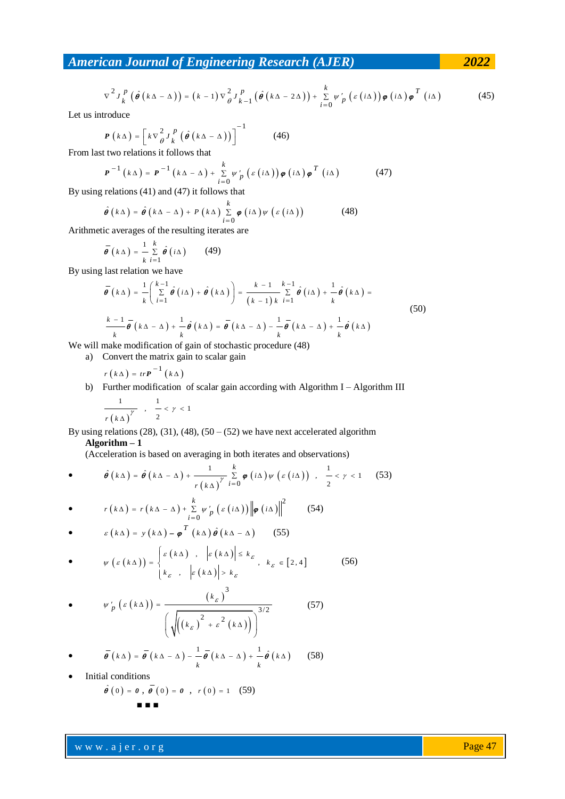From the differential equation:

\n
$$
\nabla^2 J_k^P \left( \hat{\boldsymbol{\theta}} \left( k \Delta - \Delta \right) \right) = (k-1) \nabla^2 \partial^P k_{-1} \left( \hat{\boldsymbol{\theta}} \left( k \Delta - 2 \Delta \right) \right) + \sum_{i=0}^k \psi'_p \left( \varepsilon \left( i \Delta \right) \right) \boldsymbol{\varphi} \left( i \Delta \right) \boldsymbol{\varphi}^T \left( i \Delta \right)
$$
\ntrroduce:

\n(45)

Let us introduce

$$
P(k\Delta) = \left[k\nabla \frac{2}{\theta} J_k^P \left(\hat{\theta}\left(k\Delta - \Delta\right)\right)\right]^{-1} \tag{46}
$$

From last two relations it follows that<br> $P^{-1}(k\Delta) = P^{-1}(k\Delta - \Delta)$ 

$$
\mathbf{P}^{-1} (k\Delta) = \mathbf{P}^{-1} (k\Delta - \Delta) + \sum_{i=0}^{k} \psi'_{p} (\varepsilon (i\Delta)) \boldsymbol{\varphi} (i\Delta) \boldsymbol{\varphi}^{T} (i\Delta)
$$
 (47)

By using relations (41) and (47) it follows that  
\n
$$
\hat{\theta} (k\Delta) = \hat{\theta} (k\Delta - \Delta) + P (k\Delta) \sum_{i=0}^{k} \varphi (i\Delta) \psi ( \varepsilon (i\Delta) )
$$
\n(48)

Arithmetic averages of the resulting iterates are

$$
\vec{\theta}\left(k\Delta\right) = \frac{1}{k}\sum_{i=1}^{k} \hat{\theta}\left(i\Delta\right) \qquad (49)
$$

By using last relation we have

last relation we have  
\n
$$
\overline{\theta}(k\Delta) = \frac{1}{k} \left( \sum_{i=1}^{k-1} \hat{\theta}(i\Delta) + \hat{\theta}(k\Delta) \right) = \frac{k-1}{(k-1)k} \sum_{i=1}^{k-1} \hat{\theta}(i\Delta) + \frac{1}{k} \hat{\theta}(k\Delta) =
$$
\n
$$
\frac{k-1}{k} \overline{\theta}(k\Delta - \Delta) + \frac{1}{k} \hat{\theta}(k\Delta) = \overline{\theta}(k\Delta - \Delta) - \frac{1}{k} \overline{\theta}(k\Delta - \Delta) + \frac{1}{k} \hat{\theta}(k\Delta)
$$
\n(50)

We will make modification of gain of stochastic procedure (48)

a) Convert the matrix gain to scalar gain

$$
r\left( k\Delta \right) =tr\textbf{\textit{P}}^{-1}\left( k\Delta \right)
$$

b) Further modification of scalar gain according with Algorithm I – Algorithm III 1 1  $, -< \gamma < 1$  $\mathbf{1}$ 

$$
\frac{\gamma}{r(k\Delta)}\,,\quad \frac{\gamma}{2} < \gamma <
$$

By using relations (28), (31), (48), (50 – (52) we have next accelerated algorithm **Algorithm – 1** 

(Acceleration is based on averaging in both iterates and observations)  
\n• 
$$
\hat{\theta}(\kappa \Delta) = \hat{\theta}(\kappa \Delta - \Delta) + \frac{1}{r(\kappa \Delta)} \sum_{i=0}^{k} \varphi(i\Delta) \psi(\varepsilon(i\Delta)) , \frac{1}{2} < r < 1
$$
 (53)

• 
$$
r(k\Delta) = r(k\Delta - \Delta) + \sum_{i=0}^{k} \psi'_{p} ( \varepsilon (i\Delta) ) \left\| \boldsymbol{\varphi} (i\Delta) \right\|^{2}
$$
 (54)

• 
$$
\varepsilon (k\Delta) = y (k\Delta) - \varphi^T (k\Delta) \hat{\theta} (k\Delta - \Delta)
$$
 (55)  

$$
\varepsilon (k\Delta), \quad \varepsilon (k\Delta) = \varepsilon (k\Delta) \hat{\theta} (k\Delta)
$$

• 
$$
\psi\left(\varepsilon\left(k\Delta\right)\right) = \begin{cases} \varepsilon\left(k\Delta\right) & , & \left|\varepsilon\left(k\Delta\right)\right| \leq k_{\varepsilon} \\ k_{\varepsilon} & , & \left|\varepsilon\left(k\Delta\right)\right| > k_{\varepsilon} \end{cases}, \quad k_{\varepsilon} \in [2, 4] \tag{56}
$$

$$
\bullet \qquad \psi'_p(\varepsilon(k\Delta)) = \frac{(\kappa_\varepsilon)^3}{\left(\sqrt{((\kappa_\varepsilon)^2 + \varepsilon^2(k\Delta))}\right)^{3/2}}
$$
(57)

• 
$$
\vec{\theta} \left( k \Delta \right) = \vec{\theta} \left( k \Delta - \Delta \right) - \frac{1}{k} \vec{\theta} \left( k \Delta - \Delta \right) + \frac{1}{k} \hat{\theta} \left( k \Delta \right) \qquad (58)
$$

Initial conditions

$$
\hat{\boldsymbol{\theta}}(0) = \boldsymbol{\theta}, \, \overline{\boldsymbol{\theta}}(0) = \boldsymbol{\theta}, \, r(0) = 1 \quad (59)
$$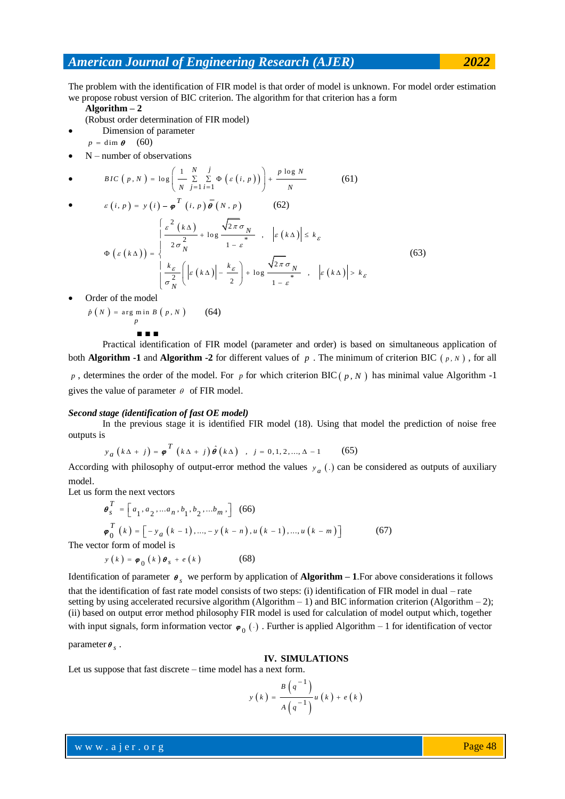The problem with the identification of FIR model is that order of model is unknown. For model order estimation we propose robust version of BIC criterion. The algorithm for that criterion has a form

**Algorithm – 2** 

(Robust order determination of FIR model)

- Dimension of parameter
- $p = \dim \boldsymbol{\theta}$  (60)
- N number of observations

• N-number of observations  
\n• 
$$
BIC(p, N) = \log \left( \frac{1}{N} \sum_{j=1}^{N} \sum_{i=1}^{j} \Phi \left( \varepsilon(i, p) \right) \right) + \frac{p \log N}{N}
$$
(61)

• 
$$
\varepsilon(i, p) = y(i) - \varphi^{T}(i, p) \overline{\theta}(N, p)
$$
 (62)  
\n
$$
\varphi(\varepsilon(k\Delta)) = \begin{cases}\n\frac{\varepsilon^{2}(k\Delta)}{2\sigma_{N}^{2}} + \log \frac{\sqrt{2\pi}\sigma_{N}}{1 - \varepsilon^{*}} , & |\varepsilon(k\Delta)| \leq k_{\varepsilon} \\
\frac{k_{\varepsilon}}{\sigma_{N}^{2}} \left( |\varepsilon(k\Delta)| - \frac{k_{\varepsilon}}{2} \right) + \log \frac{\sqrt{2\pi}\sigma_{N}}{1 - \varepsilon^{*}} , & |\varepsilon(k\Delta)| > k_{\varepsilon}\n\end{cases}
$$
(63)

Order of the model

$$
\hat{p}(N) = \underset{p}{\arg\min} B(p, N) \qquad (64)
$$

$$
\ldots \vphantom{\sum_{X_X}^X}
$$

Practical identification of FIR model (parameter and order) is based on simultaneous application of both **Algorithm -1** and **Algorithm -2** for different values of  $p$ . The minimum of criterion BIC  $(p, N)$ , for all

 $p$ , determines the order of the model. For  $p$  for which criterion BIC( $p$ ,  $N$ ) has minimal value Algorithm -1 gives the value of parameter  $\theta$  of FIR model.

#### *Second stage (identification of fast OE model)*

In the previous stage it is identified FIR model (18). Using that model the prediction of noise free outputs is

$$
y_a (k\Delta + j) = \boldsymbol{\varphi}^T (k\Delta + j) \hat{\boldsymbol{\theta}} (k\Delta)
$$
,  $j = 0, 1, 2, ..., \Delta - 1$  (65)

According with philosophy of output-error method the values  $y_a$  (.) can be considered as outputs of auxiliary model.

Let us form the next vectors

$$
\theta_{s}^{T} = \begin{bmatrix} a_{1}, a_{2}, \dots a_{n}, b_{1}, b_{2}, \dots b_{m}, \end{bmatrix} (66)
$$
  
\n
$$
\varphi_{0}^{T} (k) = \begin{bmatrix} -y_{a} (k-1), \dots, -y (k-n), u (k-1), \dots, u (k-m) \end{bmatrix}
$$
  
\nThe vector form of model is  
\n
$$
y (k) = \varphi_{0} (k) \theta_{s} + e (k)
$$
 (68)

Identification of parameter  $\theta_s$  we perform by application of **Algorithm – 1**. For above considerations it follows that the identification of fast rate model consists of two steps: (i) identification of FIR model in dual – rate setting by using accelerated recursive algorithm (Algorithm  $- 1$ ) and BIC information criterion (Algorithm  $- 2$ ); (ii) based on output error method philosophy FIR model is used for calculation of model output which, together with input signals, form information vector  $\varphi_0(\cdot)$ . Further is applied Algorithm – 1 for identification of vector

parameter  $\boldsymbol{\theta}_s$ .

#### **IV. SIMULATIONS**

Let us suppose that fast discrete – time model has a next form.

$$
y(k) = \frac{B(q^{-1})}{A(q^{-1})}u(k) + e(k)
$$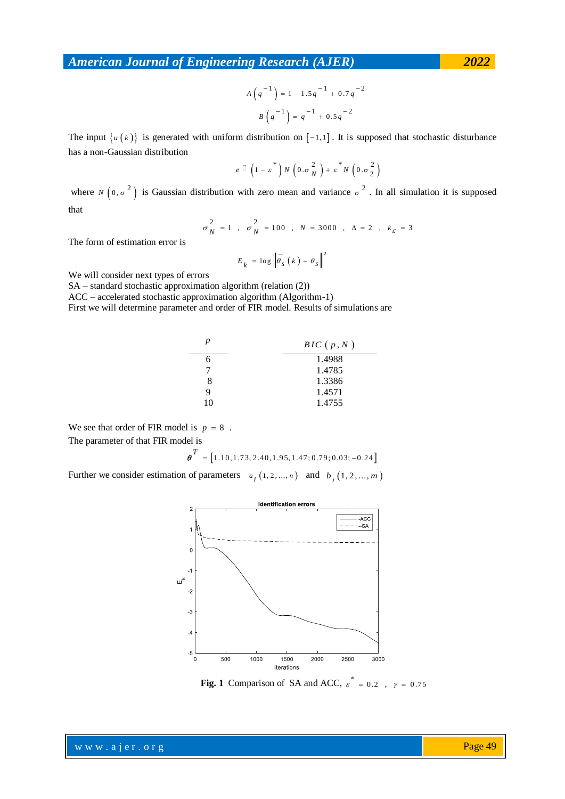$$
A\left(q^{-1}\right) = 1 - 1.5q^{-1} + 0.7q^{-2}
$$

$$
B\left(q^{-1}\right) = q^{-1} + 0.5q^{-2}
$$

The input  $\{u(k)\}\$ is generated with uniform distribution on  $[-1,1]$ . It is supposed that stochastic disturbance has a non-Gaussian distribution

$$
e \Box \left(1-\varepsilon^*\right)N\left(0.\sigma_N^2\right)+\varepsilon^*N\left(0.\sigma_2^2\right)
$$

where  $N(0, \sigma^2)$  is Gaussian distribution with zero mean and variance  $\sigma^2$ . In all simulation it is supposed that

$$
\sigma_N^2 = 1
$$
,  $\sigma_N^2 = 100$ ,  $N = 3000$ ,  $\Delta = 2$ ,  $k_{\varepsilon} = 3$ 

The form of estimation error is

$$
E_{k} = \log \left\| \overline{\theta}_{s} \left( k \right) - \theta_{s} \right\|^{2}
$$

We will consider next types of errors

SA – standard stochastic approximation algorithm (relation (2))

ACC – accelerated stochastic approximation algorithm (Algorithm-1)

First we will determine parameter and order of FIR model. Results of simulations are

| p  | BIC(p, N) |
|----|-----------|
|    | 1.4988    |
|    | 1.4785    |
| 8  | 1.3386    |
| Q  | 1.4571    |
| 10 | 1.4755    |

We see that order of FIR model is  $p = 8$ .

The parameter of that FIR model is

$$
\boldsymbol{\theta}^T = \begin{bmatrix} 1.10, 1.73, 2.40, 1.95, 1.47, 0.79, 0.03, -0.24 \end{bmatrix}
$$

Further we consider estimation of parameters  $a_i$  (1, 2, ..., *n*) and  $b_j$  (1, 2, ..., *m*)



**Fig. 1** Comparison of SA and ACC,  $\varepsilon^* = 0.2$ ,  $\gamma = 0.75$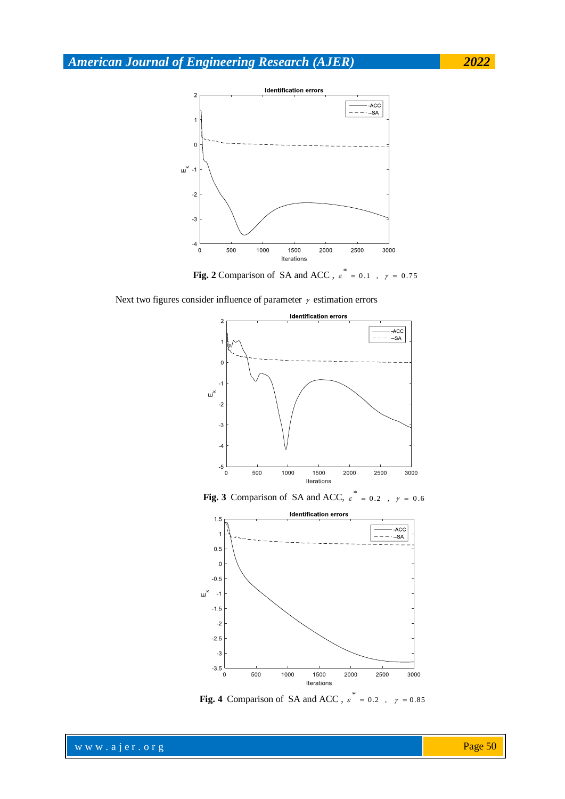

**Fig. 2** Comparison of SA and ACC,  $\epsilon^* = 0.1$ ,  $\gamma = 0.75$ 

Next two figures consider influence of parameter  $\gamma$  estimation errors



**Fig. 3** Comparison of SA and ACC,  $\varepsilon^*$  $= 0.2$ ,  $\gamma = 0.6$ 



**Fig. 4** Comparison of SA and ACC,  $\varepsilon^* = 0.2$ ,  $\gamma = 0.85$